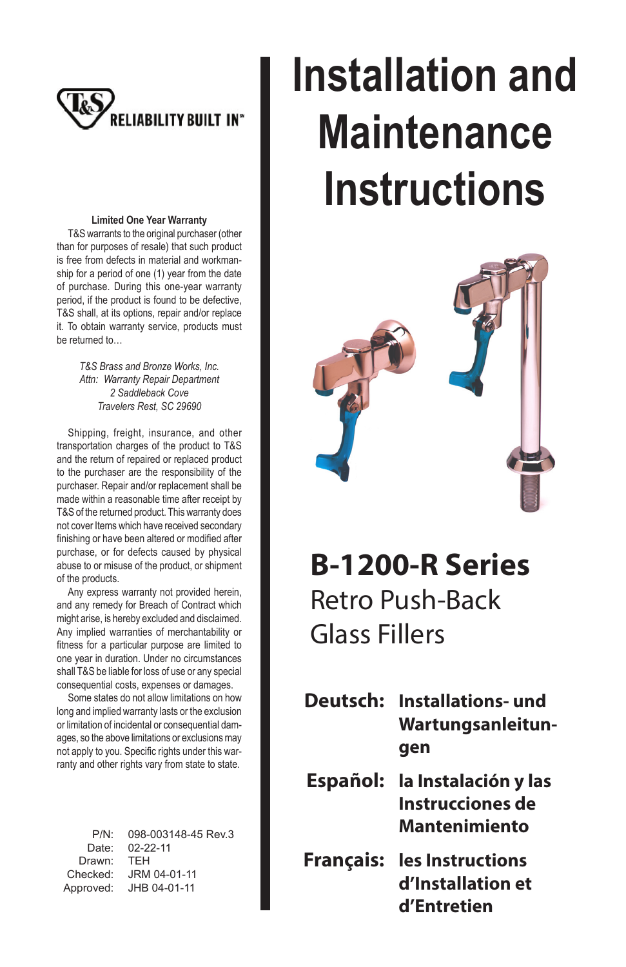

#### **Limited One Year Warranty**

T&S warrants to the original purchaser (other than for purposes of resale) that such product is free from defects in material and workmanship for a period of one (1) year from the date of purchase. During this one-year warranty period, if the product is found to be defective, T&S shall, at its options, repair and/or replace it. To obtain warranty service, products must be returned to…

> *T&S Brass and Bronze Works, Inc. Attn: Warranty Repair Department 2 Saddleback Cove Travelers Rest, SC 29690*

Shipping, freight, insurance, and other transportation charges of the product to T&S and the return of repaired or replaced product to the purchaser are the responsibility of the purchaser. Repair and/or replacement shall be made within a reasonable time after receipt by T&S of the returned product. This warranty does not cover Items which have received secondary finishing or have been altered or modified after purchase, or for defects caused by physical abuse to or misuse of the product, or shipment of the products.

Any express warranty not provided herein, and any remedy for Breach of Contract which might arise, is hereby excluded and disclaimed. Any implied warranties of merchantability or fitness for a particular purpose are limited to one year in duration. Under no circumstances shall T&S be liable for loss of use or any special consequential costs, expenses or damages.

Some states do not allow limitations on how long and implied warranty lasts or the exclusion or limitation of incidental or consequential damages, so the above limitations or exclusions may not apply to you. Specific rights under this warranty and other rights vary from state to state.

| $P/N$ :   | 098-003148-45 Rev.3 |
|-----------|---------------------|
| Date:     | $02 - 22 - 11$      |
| Drawn:    | <b>TFH</b>          |
| Checked:  | JRM 04-01-11        |
| Approved: | JHB 04-01-11        |

# **Installation and Maintenance Instructions**



**B-1200-R Series** Retro Push-Back Glass Fillers

- **Deutsch: Installations- und Wartungsanleitungen**
- **Español: la Instalación y las Instrucciones de Mantenimiento**
- **Français: les Instructions d'Installation et d'Entretien**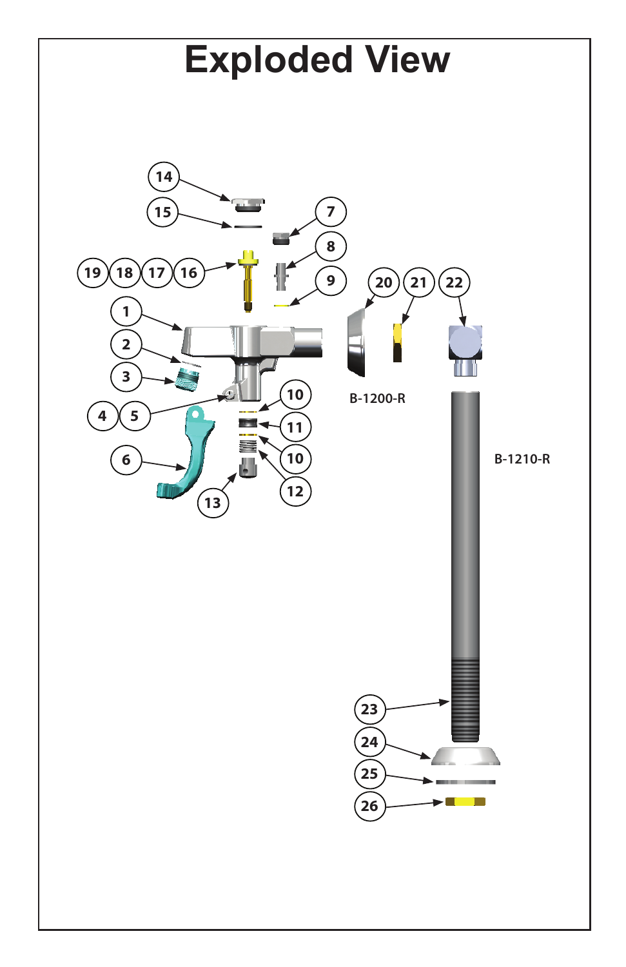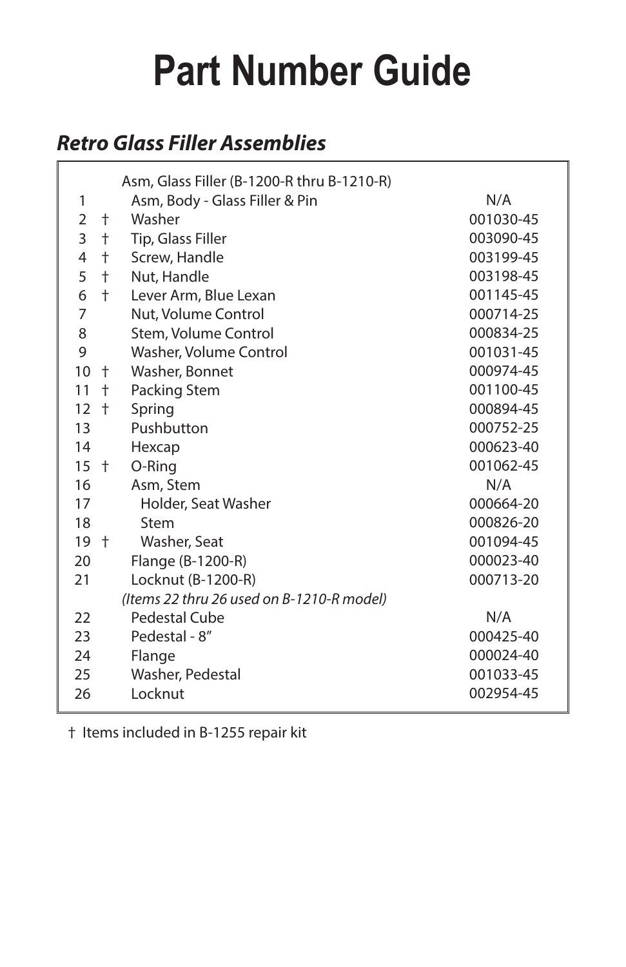## **Part Number Guide**

### **Retro Glass Filler Assemblies**

|        |            | Asm, Glass Filler (B-1200-R thru B-1210-R) |           |
|--------|------------|--------------------------------------------|-----------|
| 1      |            | Asm, Body - Glass Filler & Pin             | N/A       |
| 2      | $\pm$      | Washer                                     | 001030-45 |
| 3      | $\ddagger$ | Tip, Glass Filler                          | 003090-45 |
| 4      | $\ddagger$ | Screw, Handle                              | 003199-45 |
| 5      | $\pm$      | Nut, Handle                                | 003198-45 |
| 6      | $\ddagger$ | Lever Arm, Blue Lexan                      | 001145-45 |
| 7      |            | Nut, Volume Control                        | 000714-25 |
| 8      |            | Stem, Volume Control                       | 000834-25 |
| 9      |            | Washer, Volume Control                     | 001031-45 |
| 10     | $\pm$      | Washer, Bonnet                             | 000974-45 |
| 11     | $\pm$      | Packing Stem                               | 001100-45 |
| 12     | $\pm$      | Spring                                     | 000894-45 |
| 13     |            | Pushbutton                                 | 000752-25 |
| 14     |            | Hexcap                                     | 000623-40 |
| $15 +$ |            | O-Ring                                     | 001062-45 |
| 16     |            | Asm, Stem                                  | N/A       |
| 17     |            | Holder, Seat Washer                        | 000664-20 |
| 18     |            | Stem                                       | 000826-20 |
| $19+$  |            | Washer, Seat                               | 001094-45 |
| 20     |            | Flange (B-1200-R)                          | 000023-40 |
| 21     |            | Locknut (B-1200-R)                         | 000713-20 |
|        |            | (Items 22 thru 26 used on B-1210-R model)  |           |
| 22     |            | Pedestal Cube                              | N/A       |
| 23     |            | Pedestal - 8"<br>000425-40                 |           |
| 24     |            | Flange                                     | 000024-40 |
| 25     |            | Washer, Pedestal                           | 001033-45 |
| 26     |            | Locknut                                    | 002954-45 |

† Items included in B-1255 repair kit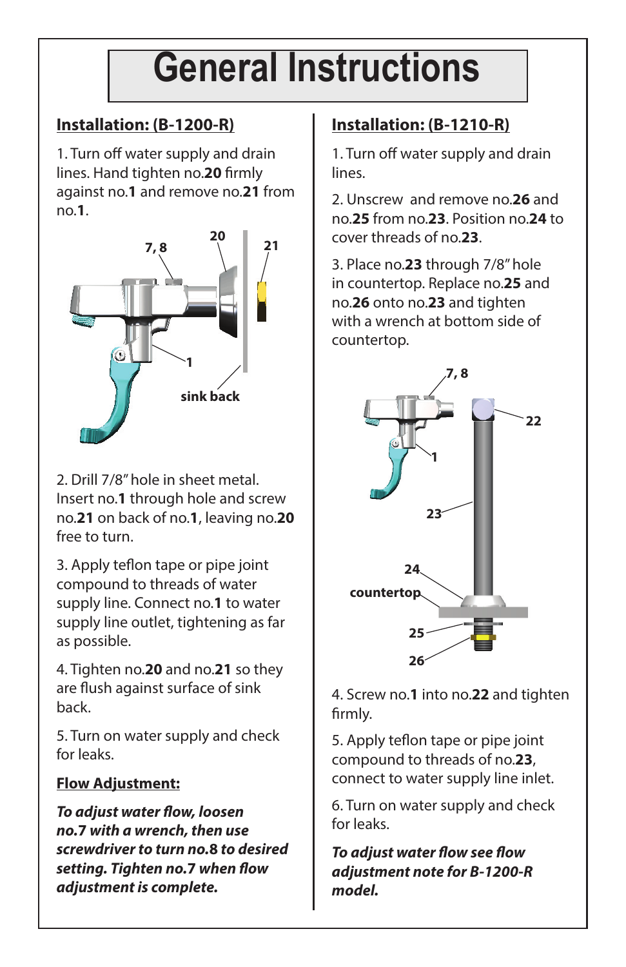### **General Instructions**

### **Installation: (B-1200-R)**

1. Turn off water supply and drain lines. Hand tighten no.**20** firmly against no.**1** and remove no.**21** from no.**1**.



2. Drill 7/8" hole in sheet metal. Insert no.**1** through hole and screw no.**21** on back of no.**1**, leaving no.**20** free to turn.

3. Apply teflon tape or pipe joint compound to threads of water supply line. Connect no.**1** to water supply line outlet, tightening as far as possible.

4. Tighten no.**20** and no.**21** so they are flush against surface of sink back.

5. Turn on water supply and check for leaks.

### **Flow Adjustment:**

**To adjust water flow, loosen no.7 with a wrench, then use screwdriver to turn no.8 to desired setting. Tighten no.7** when flow **adjustment is complete.**

### **Installation: (B-1210-R)**

1. Turn off water supply and drain lines.

2. Unscrew and remove no.**26** and no.**25** from no.**23**. Position no.**24** to cover threads of no.**23**.

3. Place no.**23** through 7/8" hole in countertop. Replace no.**25** and no.**26** onto no.**23** and tighten with a wrench at bottom side of countertop.



4. Screw no.**1** into no.**22** and tighten firmly.

5. Apply teflon tape or pipe joint compound to threads of no.**23**, connect to water supply line inlet.

6. Turn on water supply and check for leaks.

**To adjust water flow see flow adjustment note for B-1200-R model.**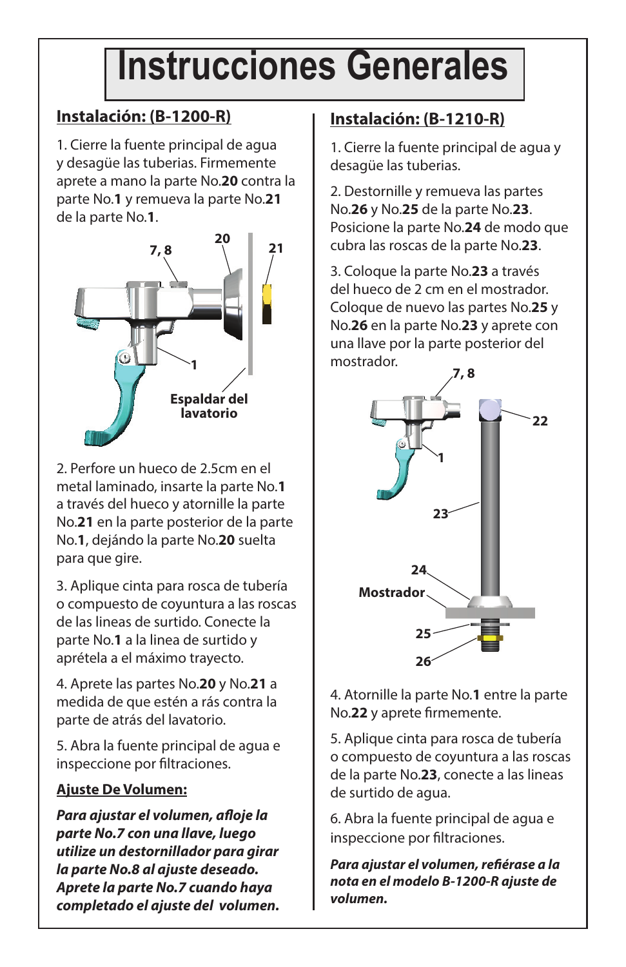### **Instrucciones Generales**

### **Instalación: (B-1200-R)**

1. Cierre la fuente principal de agua y desagüe las tuberias. Firmemente aprete a mano la parte No.**20** contra la parte No.**1** y remueva la parte No.**21** de la parte No.**1**.



2. Perfore un hueco de 2.5cm en el metal laminado, insarte la parte No.**1** a través del hueco y atornille la parte No.**21** en la parte posterior de la parte No.**1**, dejándo la parte No.**20** suelta para que gire.

3. Aplique cinta para rosca de tubería o compuesto de coyuntura a las roscas de las lineas de surtido. Conecte la parte No.**1** a la linea de surtido y aprétela a el máximo trayecto.

4. Aprete las partes No.**20** y No.**21** a medida de que estén a rás contra la parte de atrás del lavatorio.

5. Abra la fuente principal de agua e inspeccione por filtraciones.

#### **Ajuste De Volumen:**

**Para ajustar el volumen, afl oje la parte No.7 con una llave, luego utilize un destornillador para girar la parte No.8 al ajuste deseado. Aprete la parte No.7 cuando haya completado el ajuste del volumen.**

### **Instalación: (B-1210-R)**

1. Cierre la fuente principal de agua y desagüe las tuberias.

2. Destornille y remueva las partes No.**26** y No.**25** de la parte No.**23**. Posicione la parte No.**24** de modo que cubra las roscas de la parte No.**23**.

3. Coloque la parte No.**23** a través del hueco de 2 cm en el mostrador. Coloque de nuevo las partes No.**25** y No.**26** en la parte No.**23** y aprete con una llave por la parte posterior del mostrador.



4. Atornille la parte No.**1** entre la parte No.**22** y aprete firmemente.

5. Aplique cinta para rosca de tubería o compuesto de coyuntura a las roscas de la parte No.**23**, conecte a las lineas de surtido de agua.

6. Abra la fuente principal de agua e inspeccione por filtraciones.

Para ajustar el volumen, refiérase a la **nota en el modelo B-1200-R ajuste de volumen.**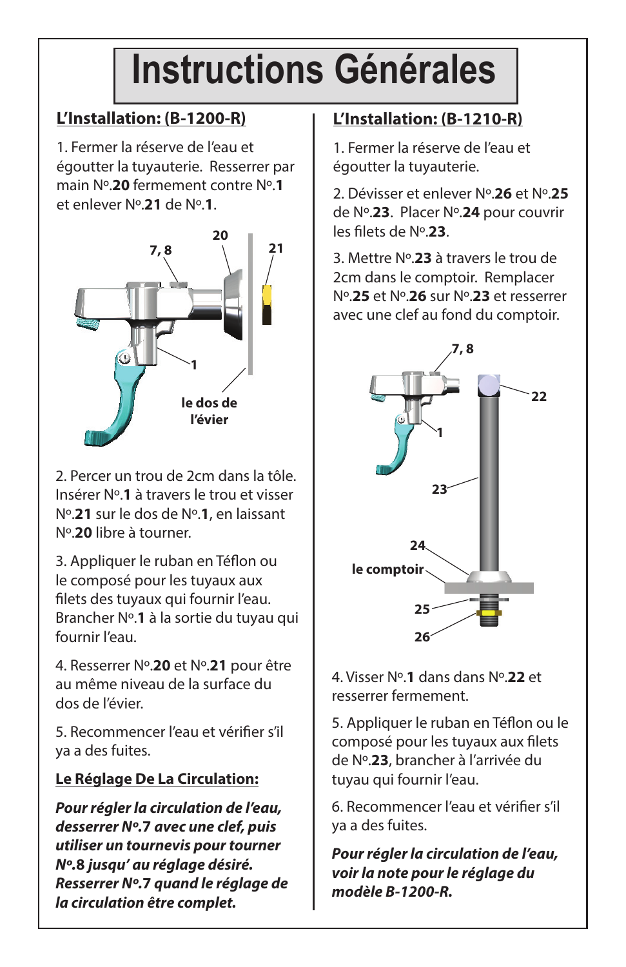### **Instructions Générales**

### **L'Installation: (B-1200-R)**

1. Fermer la réserve de l'eau et égoutter la tuyauterie. Resserrer par main Nº.**20** fermement contre Nº.**1** et enlever Nº.**21** de Nº.**1**.



2. Percer un trou de 2cm dans la tôle. Insérer Nº.**1** à travers le trou et visser Nº.**21** sur le dos de Nº.**1**, en laissant Nº.**20** libre à tourner.

3. Appliquer le ruban en Téflon ou le composé pour les tuyaux aux filets des tuyaux qui fournir l'eau. Brancher Nº.**1** à la sortie du tuyau qui fournir l'eau.

4. Resserrer Nº.**20** et Nº.**21** pour être au même niveau de la surface du dos de l'évier.

5. Recommencer l'eau et vérifier s'il ya a des fuites.

#### **Le Réglage De La Circulation:**

**Pour régler la circulation de l'eau, desserrer Nº.7 avec une clef, puis utiliser un tournevis pour tourner Nº.8 jusqu' au réglage désiré. Resserrer Nº.7 quand le réglage de la circulation être complet.**

### **L'Installation: (B-1210-R)**

1. Fermer la réserve de l'eau et égoutter la tuyauterie.

2. Dévisser et enlever Nº.**26** et Nº.**25** de Nº.**23**. Placer Nº.**24** pour couvrir les filets de Nº.23.

3. Mettre Nº.**23** à travers le trou de 2cm dans le comptoir. Remplacer Nº.**25** et Nº.**26** sur Nº.**23** et resserrer avec une clef au fond du comptoir.



#### 4. Visser Nº.**1** dans dans Nº.**22** et resserrer fermement.

5. Appliquer le ruban en Téflon ou le composé pour les tuyaux aux filets de Nº.**23**, brancher à l'arrivée du tuyau qui fournir l'eau.

6. Recommencer l'eau et vérifier s'il ya a des fuites.

**Pour régler la circulation de l'eau, voir la note pour le réglage du modèle B-1200-R.**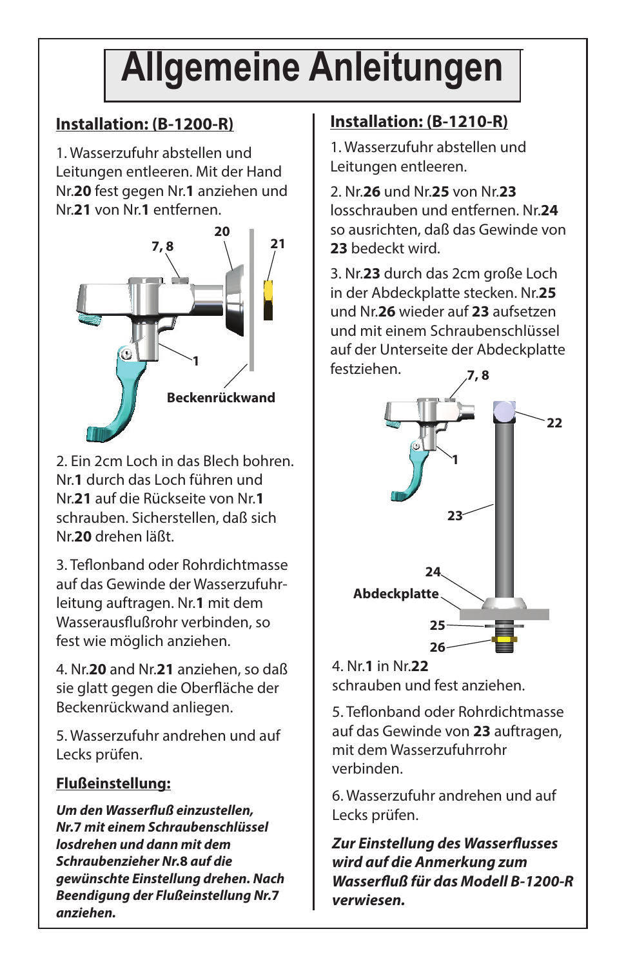## **Allgemeine Anleitungen**

### **Installation: (B-1200-R)**

1. Wasserzufuhr abstellen und Leitungen entleeren. Mit der Hand Nr.**20** fest gegen Nr.**1** anziehen und Nr.**21** von Nr.**1** entfernen.



2. Ein 2cm Loch in das Blech bohren. Nr.**1** durch das Loch führen und Nr.**21** auf die Rückseite von Nr.**1** schrauben. Sicherstellen, daß sich Nr.**20** drehen läßt.

3. Teflonband oder Rohrdichtmasse auf das Gewinde der Wasserzufuhrleitung auftragen. Nr.**1** mit dem Wasserausflußrohr verbinden, so fest wie möglich anziehen.

4. Nr.**20** and Nr.**21** anziehen, so daß sie glatt gegen die Oberfläche der Beckenrückwand anliegen.

5. Wasserzufuhr andrehen und auf Lecks prüfen.

### **Flußeinstellung:**

**Um den Wasserfluß einzustellen, Nr.7 mit einem Schraubenschlüssel losdrehen und dann mit dem Schraubenzieher Nr.8 auf die gewünschte Einstellung drehen. Nach Beendigung der Flußeinstellung Nr.7 anziehen.**

### **Installation: (B-1210-R)**

1. Wasserzufuhr abstellen und Leitungen entleeren.

2. Nr.**26** und Nr.**25** von Nr.**23** losschrauben und entfernen. Nr.**24** so ausrichten, daß das Gewinde von **23** bedeckt wird.

3. Nr.**23** durch das 2cm große Loch in der Abdeckplatte stecken. Nr.**25** und Nr.**26** wieder auf **23** aufsetzen und mit einem Schraubenschlüssel auf der Unterseite der Abdeckplatte festziehen. **7, 8**



4. Nr.**1** in Nr.**22** schrauben und fest anziehen.

5. Teflonband oder Rohrdichtmasse auf das Gewinde von **23** auftragen, mit dem Wasserzufuhrrohr verbinden.

6. Wasserzufuhr andrehen und auf Lecks prüfen.

**Zur Einstellung des Wasserflusses wird auf die Anmerkung zum Wasserfl uß für das Modell B-1200-R verwiesen.**